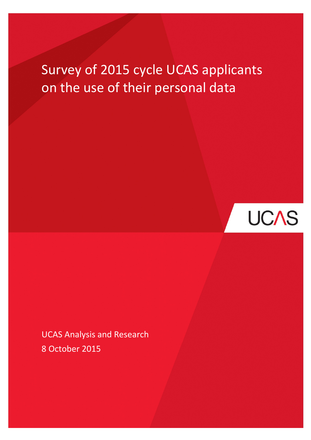# Survey of 2015 cycle UCAS applicants on the use of their personal data



UCAS Analysis and Research 8 October 2015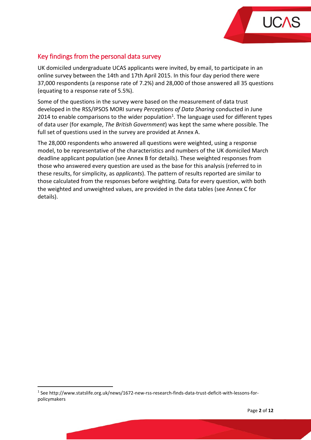

# Key findings from the personal data survey

UK domiciled undergraduate UCAS applicants were invited, by email, to participate in an online survey between the 14th and 17th April 2015. In this four day period there were 37,000 respondents (a response rate of 7.2%) and 28,000 of those answered all 35 questions (equating to a response rate of 5.5%).

Some of the questions in the survey were based on the measurement of data trust developed in the RSS/IPSOS MORI survey Perceptions of Data Sharing conducted in June 2014 to enable comparisons to the wider population<sup>1</sup>. The language used for different types of data user (for example, The British Government) was kept the same where possible. The full set of questions used in the survey are provided at Annex A.

The 28,000 respondents who answered all questions were weighted, using a response model, to be representative of the characteristics and numbers of the UK domiciled March deadline applicant population (see Annex B for details). These weighted responses from those who answered every question are used as the base for this analysis (referred to in these results, for simplicity, as *applicants*). The pattern of results reported are similar to those calculated from the responses before weighting. Data for every question, with both the weighted and unweighted values, are provided in the data tables (see Annex C for details).

l

<sup>&</sup>lt;sup>1</sup> See http://www.statslife.org.uk/news/1672-new-rss-research-finds-data-trust-deficit-with-lessons-forpolicymakers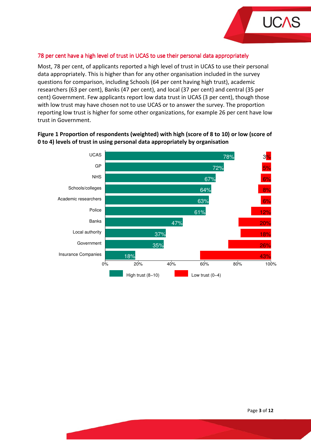

### 78 per cent have a high level of trust in UCAS to use their personal data appropriately

Most, 78 per cent, of applicants reported a high level of trust in UCAS to use their personal data appropriately. This is higher than for any other organisation included in the survey questions for comparison, including Schools (64 per cent having high trust), academic researchers (63 per cent), Banks (47 per cent), and local (37 per cent) and central (35 per cent) Government. Few applicants report low data trust in UCAS (3 per cent), though those with low trust may have chosen not to use UCAS or to answer the survey. The proportion reporting low trust is higher for some other organizations, for example 26 per cent have low trust in Government.



# Figure 1 Proportion of respondents (weighted) with high (score of 8 to 10) or low (score of 0 to 4) levels of trust in using personal data appropriately by organisation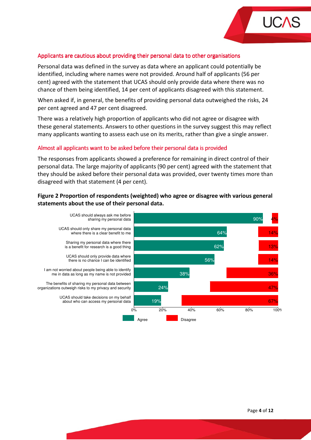

#### Applicants are cautious about providing their personal data to other organisations

Personal data was defined in the survey as data where an applicant could potentially be identified, including where names were not provided. Around half of applicants (56 per cent) agreed with the statement that UCAS should only provide data where there was no chance of them being identified, 14 per cent of applicants disagreed with this statement.

When asked if, in general, the benefits of providing personal data outweighed the risks, 24 per cent agreed and 47 per cent disagreed.

There was a relatively high proportion of applicants who did not agree or disagree with these general statements. Answers to other questions in the survey suggest this may reflect many applicants wanting to assess each use on its merits, rather than give a single answer.

#### Almost all applicants want to be asked before their personal data is provided

The responses from applicants showed a preference for remaining in direct control of their personal data. The large majority of applicants (90 per cent) agreed with the statement that they should be asked before their personal data was provided, over twenty times more than disagreed with that statement (4 per cent).

# Figure 2 Proportion of respondents (weighted) who agree or disagree with various general statements about the use of their personal data.

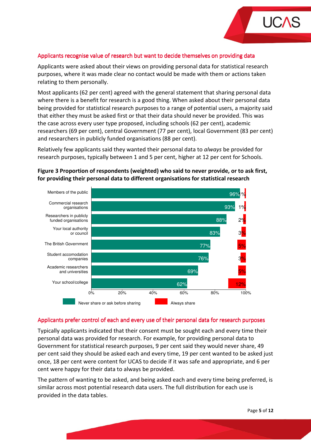

#### Applicants recognise value of research but want to decide themselves on providing data

Applicants were asked about their views on providing personal data for statistical research purposes, where it was made clear no contact would be made with them or actions taken relating to them personally.

Most applicants (62 per cent) agreed with the general statement that sharing personal data where there is a benefit for research is a good thing. When asked about their personal data being provided for statistical research purposes to a range of potential users, a majority said that either they must be asked first or that their data should never be provided. This was the case across every user type proposed, including schools (62 per cent), academic researchers (69 per cent), central Government (77 per cent), local Government (83 per cent) and researchers in publicly funded organisations (88 per cent).

Relatively few applicants said they wanted their personal data to *always* be provided for research purposes, typically between 1 and 5 per cent, higher at 12 per cent for Schools.



# Figure 3 Proportion of respondents (weighted) who said to never provide, or to ask first, for providing their personal data to different organisations for statistical research

#### Applicants prefer control of each and every use of their personal data for research purposes

Typically applicants indicated that their consent must be sought each and every time their personal data was provided for research. For example, for providing personal data to Government for statistical research purposes, 9 per cent said they would never share, 49 per cent said they should be asked each and every time, 19 per cent wanted to be asked just once, 18 per cent were content for UCAS to decide if it was safe and appropriate, and 6 per cent were happy for their data to always be provided.

The pattern of wanting to be asked, and being asked each and every time being preferred, is similar across most potential research data users. The full distribution for each use is provided in the data tables.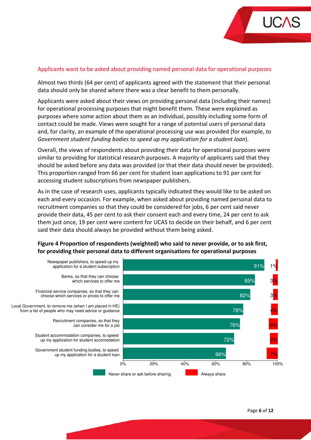

#### Applicants want to be asked about providing named personal data for operational purposes

Almost two thirds (64 per cent) of applicants agreed with the statement that their personal data should only be shared where there was a clear benefit to them personally.

Applicants were asked about their views on providing personal data (including their names) for operational processing purposes that might benefit them. These were explained as purposes where some action about them as an individual, possibly including some form of contact could be made. Views were sought for a range of potential users of personal data and, for clarity, an example of the operational processing use was provided (for example, to Government student funding bodies to speed up my application for a student loan).

Overall, the views of respondents about providing their data for operational purposes were similar to providing for statistical research purposes. A majority of applicants said that they should be asked before any data was provided (or that their data should never be provided). This proportion ranged from 66 per cent for student loan applications to 91 per cent for accessing student subscriptions from newspaper publishers.

As in the case of research uses, applicants typically indicated they would like to be asked on each and every occasion. For example, when asked about providing named personal data to recruitment companies so that they could be considered for jobs, 6 per cent said never provide their data, 45 per cent to ask their consent each and every time, 24 per cent to ask them just once, 19 per cent were content for UCAS to decide on their behalf, and 6 per cent said their data should always be provided without them being asked.

# Figure 4 Proportion of respondents (weighted) who said to never provide, or to ask first, for providing their personal data to different organisations for operational purposes

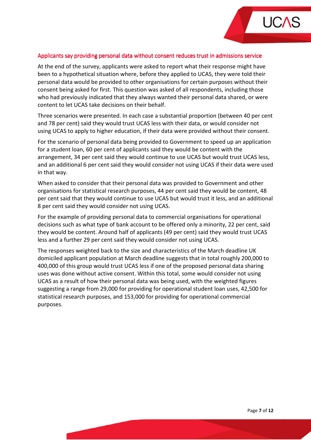

#### Applicants say providing personal data without consent reduces trust in admissions service

At the end of the survey, applicants were asked to report what their response might have been to a hypothetical situation where, before they applied to UCAS, they were told their personal data would be provided to other organisations for certain purposes without their consent being asked for first. This question was asked of all respondents, including those who had previously indicated that they always wanted their personal data shared, or were content to let UCAS take decisions on their behalf.

Three scenarios were presented. In each case a substantial proportion (between 40 per cent and 78 per cent) said they would trust UCAS less with their data, or would consider not using UCAS to apply to higher education, if their data were provided without their consent.

For the scenario of personal data being provided to Government to speed up an application for a student loan, 60 per cent of applicants said they would be content with the arrangement, 34 per cent said they would continue to use UCAS but would trust UCAS less, and an additional 6 per cent said they would consider not using UCAS if their data were used in that way.

When asked to consider that their personal data was provided to Government and other organisations for statistical research purposes, 44 per cent said they would be content, 48 per cent said that they would continue to use UCAS but would trust it less, and an additional 8 per cent said they would consider not using UCAS.

For the example of providing personal data to commercial organisations for operational decisions such as what type of bank account to be offered only a minority, 22 per cent, said they would be content. Around half of applicants (49 per cent) said they would trust UCAS less and a further 29 per cent said they would consider not using UCAS.

The responses weighted back to the size and characteristics of the March deadline UK domiciled applicant population at March deadline suggests that in total roughly 200,000 to 400,000 of this group would trust UCAS less if one of the proposed personal data sharing uses was done without active consent. Within this total, some would consider not using UCAS as a result of how their personal data was being used, with the weighted figures suggesting a range from 29,000 for providing for operational student loan uses, 42,500 for statistical research purposes, and 153,000 for providing for operational commercial purposes.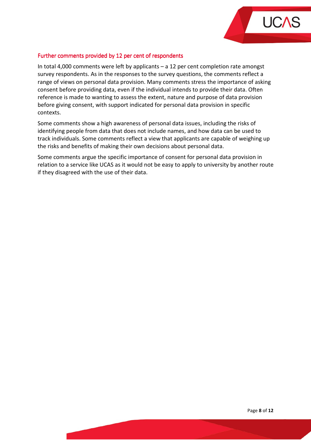

#### Further comments provided by 12 per cent of respondents

In total 4,000 comments were left by applicants – a 12 per cent completion rate amongst survey respondents. As in the responses to the survey questions, the comments reflect a range of views on personal data provision. Many comments stress the importance of asking consent before providing data, even if the individual intends to provide their data. Often reference is made to wanting to assess the extent, nature and purpose of data provision before giving consent, with support indicated for personal data provision in specific contexts.

Some comments show a high awareness of personal data issues, including the risks of identifying people from data that does not include names, and how data can be used to track individuals. Some comments reflect a view that applicants are capable of weighing up the risks and benefits of making their own decisions about personal data.

Some comments argue the specific importance of consent for personal data provision in relation to a service like UCAS as it would not be easy to apply to university by another route if they disagreed with the use of their data.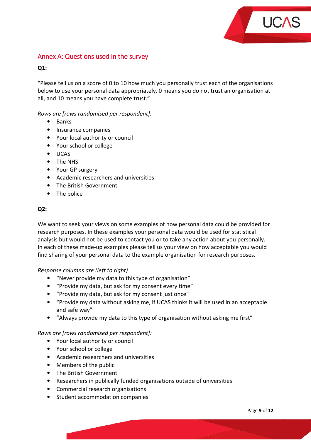

# Annex A: Questions used in the survey

# $O1:$

"Please tell us on a score of 0 to 10 how much you personally trust each of the organisations below to use your personal data appropriately. 0 means you do not trust an organisation at all, and 10 means you have complete trust."

# Rows are [rows randomised per respondent]:

- Banks
- Insurance companies
- Your local authority or council
- Your school or college
- UCAS
- The NHS
- Your GP surgery
- Academic researchers and universities
- The British Government
- The police

#### Q2:

We want to seek your views on some examples of how personal data could be provided for research purposes. In these examples your personal data would be used for statistical analysis but would not be used to contact you or to take any action about you personally. In each of these made-up examples please tell us your view on how acceptable you would find sharing of your personal data to the example organisation for research purposes.

#### Response columns are (left to right)

- "Never provide my data to this type of organisation"
- "Provide my data, but ask for my consent every time"
- "Provide my data, but ask for my consent just once"
- "Provide my data without asking me, if UCAS thinks it will be used in an acceptable and safe way"
- "Always provide my data to this type of organisation without asking me first"

#### Rows are [rows randomised per respondent]:

- Your local authority or council
- Your school or college
- Academic researchers and universities
- Members of the public
- The British Government
- Researchers in publically funded organisations outside of universities
- Commercial research organisations
- Student accommodation companies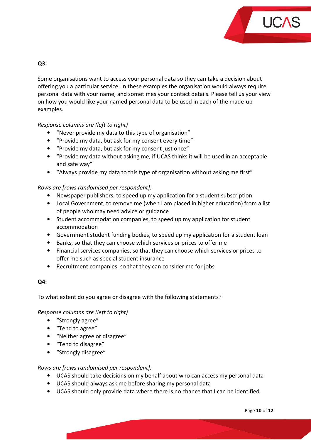

# Q3:

Some organisations want to access your personal data so they can take a decision about offering you a particular service. In these examples the organisation would always require personal data with your name, and sometimes your contact details. Please tell us your view on how you would like your named personal data to be used in each of the made-up examples.

# Response columns are (left to right)

- "Never provide my data to this type of organisation"
- "Provide my data, but ask for my consent every time"
- "Provide my data, but ask for my consent just once"
- "Provide my data without asking me, if UCAS thinks it will be used in an acceptable and safe way"
- "Always provide my data to this type of organisation without asking me first"

# Rows are [rows randomised per respondent]:

- Newspaper publishers, to speed up my application for a student subscription
- Local Government, to remove me (when I am placed in higher education) from a list of people who may need advice or guidance
- Student accommodation companies, to speed up my application for student accommodation
- Government student funding bodies, to speed up my application for a student loan
- Banks, so that they can choose which services or prices to offer me
- Financial services companies, so that they can choose which services or prices to offer me such as special student insurance
- Recruitment companies, so that they can consider me for jobs

#### Q4:

To what extent do you agree or disagree with the following statements?

#### Response columns are (left to right)

- "Strongly agree"
- "Tend to agree"
- "Neither agree or disagree"
- "Tend to disagree"
- "Strongly disagree"

#### Rows are [rows randomised per respondent]:

- UCAS should take decisions on my behalf about who can access my personal data
- UCAS should always ask me before sharing my personal data
- UCAS should only provide data where there is no chance that I can be identified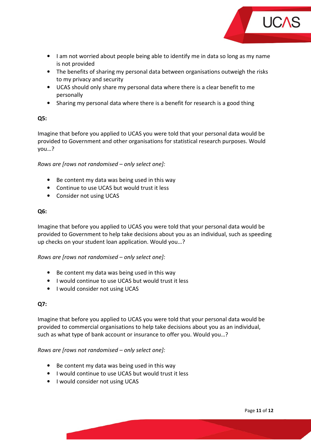

- I am not worried about people being able to identify me in data so long as my name is not provided
- The benefits of sharing my personal data between organisations outweigh the risks to my privacy and security
- UCAS should only share my personal data where there is a clear benefit to me personally
- Sharing my personal data where there is a benefit for research is a good thing

# Q5:

Imagine that before you applied to UCAS you were told that your personal data would be provided to Government and other organisations for statistical research purposes. Would you…?

Rows are [rows not randomised – only select one]:

- Be content my data was being used in this way
- Continue to use UCAS but would trust it less
- Consider not using UCAS

# Q6:

Imagine that before you applied to UCAS you were told that your personal data would be provided to Government to help take decisions about you as an individual, such as speeding up checks on your student loan application. Would you…?

Rows are [rows not randomised – only select one]:

- Be content my data was being used in this way
- I would continue to use UCAS but would trust it less
- I would consider not using UCAS

# Q7:

Imagine that before you applied to UCAS you were told that your personal data would be provided to commercial organisations to help take decisions about you as an individual, such as what type of bank account or insurance to offer you. Would you…?

# Rows are [rows not randomised – only select one]:

- Be content my data was being used in this way
- I would continue to use UCAS but would trust it less
- I would consider not using UCAS